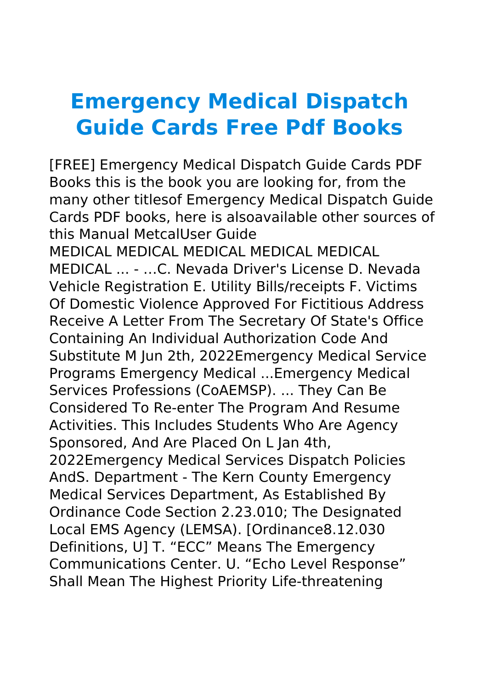## **Emergency Medical Dispatch Guide Cards Free Pdf Books**

[FREE] Emergency Medical Dispatch Guide Cards PDF Books this is the book you are looking for, from the many other titlesof Emergency Medical Dispatch Guide Cards PDF books, here is alsoavailable other sources of this Manual MetcalUser Guide MEDICAL MEDICAL MEDICAL MEDICAL MEDICAL MEDICAL ... - …C. Nevada Driver's License D. Nevada Vehicle Registration E. Utility Bills/receipts F. Victims Of Domestic Violence Approved For Fictitious Address Receive A Letter From The Secretary Of State's Office Containing An Individual Authorization Code And Substitute M Jun 2th, 2022Emergency Medical Service Programs Emergency Medical ...Emergency Medical Services Professions (CoAEMSP). ... They Can Be Considered To Re-enter The Program And Resume Activities. This Includes Students Who Are Agency Sponsored, And Are Placed On L Jan 4th, 2022Emergency Medical Services Dispatch Policies AndS. Department - The Kern County Emergency Medical Services Department, As Established By Ordinance Code Section 2.23.010; The Designated Local EMS Agency (LEMSA). [Ordinance8.12.030 Definitions, U] T. "ECC" Means The Emergency Communications Center. U. "Echo Level Response" Shall Mean The Highest Priority Life-threatening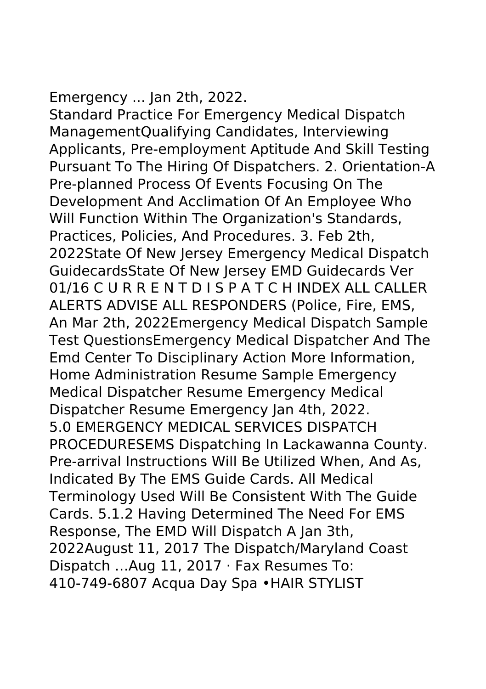## Emergency ... Jan 2th, 2022.

Standard Practice For Emergency Medical Dispatch ManagementQualifying Candidates, Interviewing Applicants, Pre-employment Aptitude And Skill Testing Pursuant To The Hiring Of Dispatchers. 2. Orientation-A Pre-planned Process Of Events Focusing On The Development And Acclimation Of An Employee Who Will Function Within The Organization's Standards, Practices, Policies, And Procedures. 3. Feb 2th, 2022State Of New Jersey Emergency Medical Dispatch GuidecardsState Of New Jersey EMD Guidecards Ver 01/16 C U R R E N T D I S P A T C H INDEX ALL CALLER ALERTS ADVISE ALL RESPONDERS (Police, Fire, EMS, An Mar 2th, 2022Emergency Medical Dispatch Sample Test QuestionsEmergency Medical Dispatcher And The Emd Center To Disciplinary Action More Information, Home Administration Resume Sample Emergency Medical Dispatcher Resume Emergency Medical Dispatcher Resume Emergency Jan 4th, 2022. 5.0 EMERGENCY MEDICAL SERVICES DISPATCH PROCEDURESEMS Dispatching In Lackawanna County. Pre-arrival Instructions Will Be Utilized When, And As, Indicated By The EMS Guide Cards. All Medical Terminology Used Will Be Consistent With The Guide Cards. 5.1.2 Having Determined The Need For EMS Response, The EMD Will Dispatch A Jan 3th, 2022August 11, 2017 The Dispatch/Maryland Coast Dispatch …Aug 11, 2017 · Fax Resumes To: 410-749-6807 Acqua Day Spa •HAIR STYLIST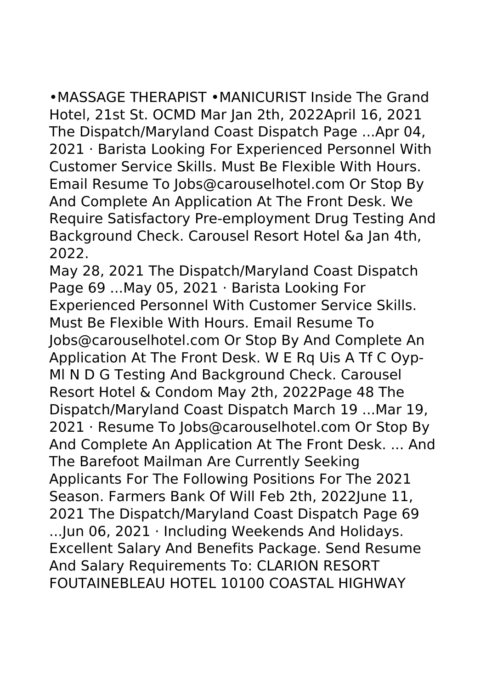•MASSAGE THERAPIST •MANICURIST Inside The Grand Hotel, 21st St. OCMD Mar Jan 2th, 2022April 16, 2021 The Dispatch/Maryland Coast Dispatch Page ...Apr 04, 2021 · Barista Looking For Experienced Personnel With Customer Service Skills. Must Be Flexible With Hours. Email Resume To Jobs@carouselhotel.com Or Stop By And Complete An Application At The Front Desk. We Require Satisfactory Pre-employment Drug Testing And Background Check. Carousel Resort Hotel &a Jan 4th, 2022.

May 28, 2021 The Dispatch/Maryland Coast Dispatch Page 69 ...May 05, 2021 · Barista Looking For Experienced Personnel With Customer Service Skills. Must Be Flexible With Hours. Email Resume To Jobs@carouselhotel.com Or Stop By And Complete An Application At The Front Desk. W E Rq Uis A Tf C Oyp-Ml N D G Testing And Background Check. Carousel Resort Hotel & Condom May 2th, 2022Page 48 The Dispatch/Maryland Coast Dispatch March 19 ...Mar 19, 2021 · Resume To Jobs@carouselhotel.com Or Stop By And Complete An Application At The Front Desk. ... And The Barefoot Mailman Are Currently Seeking Applicants For The Following Positions For The 2021 Season. Farmers Bank Of Will Feb 2th, 2022June 11, 2021 The Dispatch/Maryland Coast Dispatch Page 69 ...Jun 06, 2021 · Including Weekends And Holidays. Excellent Salary And Benefits Package. Send Resume And Salary Requirements To: CLARION RESORT FOUTAINEBLEAU HOTEL 10100 COASTAL HIGHWAY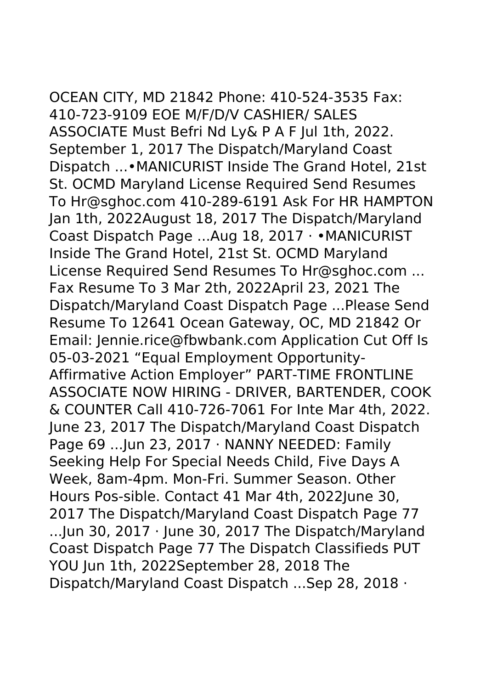## OCEAN CITY, MD 21842 Phone: 410-524-3535 Fax:

410-723-9109 EOE M/F/D/V CASHIER/ SALES ASSOCIATE Must Befri Nd Ly& P A F Jul 1th, 2022. September 1, 2017 The Dispatch/Maryland Coast Dispatch ...•MANICURIST Inside The Grand Hotel, 21st St. OCMD Maryland License Required Send Resumes To Hr@sghoc.com 410-289-6191 Ask For HR HAMPTON Jan 1th, 2022August 18, 2017 The Dispatch/Maryland Coast Dispatch Page ...Aug 18, 2017 · •MANICURIST Inside The Grand Hotel, 21st St. OCMD Maryland License Required Send Resumes To Hr@sghoc.com ... Fax Resume To 3 Mar 2th, 2022April 23, 2021 The Dispatch/Maryland Coast Dispatch Page ...Please Send Resume To 12641 Ocean Gateway, OC, MD 21842 Or Email: Jennie.rice@fbwbank.com Application Cut Off Is 05-03-2021 "Equal Employment Opportunity-Affirmative Action Employer" PART-TIME FRONTLINE ASSOCIATE NOW HIRING - DRIVER, BARTENDER, COOK & COUNTER Call 410-726-7061 For Inte Mar 4th, 2022. June 23, 2017 The Dispatch/Maryland Coast Dispatch Page 69 ...Jun 23, 2017 · NANNY NEEDED: Family Seeking Help For Special Needs Child, Five Days A Week, 8am-4pm. Mon-Fri. Summer Season. Other Hours Pos-sible. Contact 41 Mar 4th, 2022June 30, 2017 The Dispatch/Maryland Coast Dispatch Page 77 ...Jun 30, 2017 · June 30, 2017 The Dispatch/Maryland Coast Dispatch Page 77 The Dispatch Classifieds PUT YOU Jun 1th, 2022September 28, 2018 The Dispatch/Maryland Coast Dispatch ...Sep 28, 2018 ·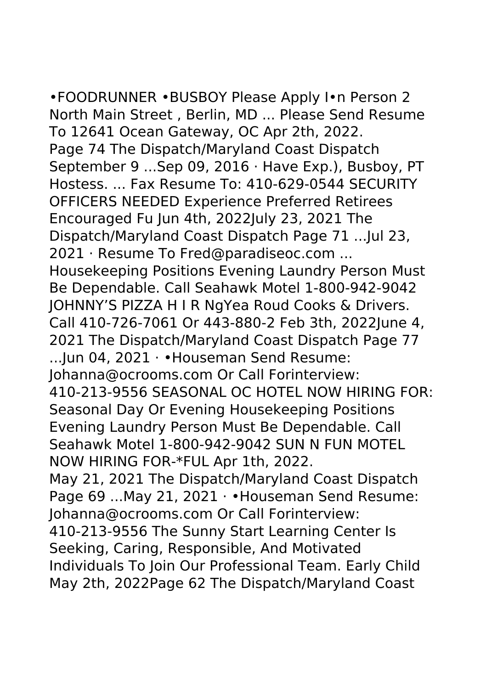•FOODRUNNER •BUSBOY Please Apply I•n Person 2 North Main Street , Berlin, MD ... Please Send Resume To 12641 Ocean Gateway, OC Apr 2th, 2022. Page 74 The Dispatch/Maryland Coast Dispatch September 9 ...Sep 09, 2016 · Have Exp.), Busboy, PT Hostess. ... Fax Resume To: 410-629-0544 SECURITY OFFICERS NEEDED Experience Preferred Retirees Encouraged Fu Jun 4th, 2022July 23, 2021 The Dispatch/Maryland Coast Dispatch Page 71 ...Jul 23, 2021 · Resume To Fred@paradiseoc.com ... Housekeeping Positions Evening Laundry Person Must Be Dependable. Call Seahawk Motel 1-800-942-9042 JOHNNY'S PIZZA H I R NgYea Roud Cooks & Drivers. Call 410-726-7061 Or 443-880-2 Feb 3th, 2022June 4, 2021 The Dispatch/Maryland Coast Dispatch Page 77 ...Jun 04, 2021 · •Houseman Send Resume: Johanna@ocrooms.com Or Call Forinterview: 410-213-9556 SEASONAL OC HOTEL NOW HIRING FOR: Seasonal Day Or Evening Housekeeping Positions Evening Laundry Person Must Be Dependable. Call Seahawk Motel 1-800-942-9042 SUN N FUN MOTEL NOW HIRING FOR-\*FUL Apr 1th, 2022. May 21, 2021 The Dispatch/Maryland Coast Dispatch Page 69 ... May 21, 2021 · • Houseman Send Resume: Johanna@ocrooms.com Or Call Forinterview: 410-213-9556 The Sunny Start Learning Center Is Seeking, Caring, Responsible, And Motivated Individuals To Join Our Professional Team. Early Child

May 2th, 2022Page 62 The Dispatch/Maryland Coast